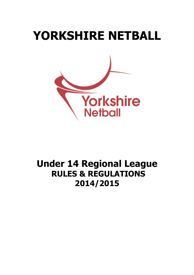# **YORKSHIRE NETBALL Yorkshire Netball**

## **Under 14 Regional League RULES & REGULATIONS 2014/2015**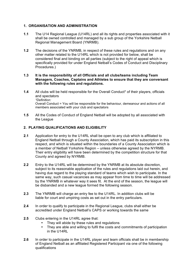#### **1. ORGANISATION AND ADMINISTRATION**

- **1.1** The U14 Regional League (U14RL) and all its rights and properties associated with it shall be owned controlled and managed by a sub group of the Yorkshire Netball Regional Management Board (YNRMB).
- **1.2** The decisions of the YNRMB, in respect of these rules and regulations and on any other matter related to the U14RL which is not provided for below, shall be considered final and binding on all parties (subject to the right of appeal which is specifically provided for under England Netball's Codes of Conduct and Disciplinary Procedures.)

#### **1.3 It is the responsibility of all Officials and all clubs/teams including Team Managers, Coaches, Captains and Athletes to ensure that they are conversant with the following rules and regulations.**

- **1.4** All clubs will be held responsible for the Overall Conduct\* of their players, officials and spectators *\*Definition:*  Overall Conduct = You will be responsible for the behaviour, demeanour and actions of all members associated with your club and spectators
- **1.5** All the Codes of Conduct of England Netball will be adopted by all associated with the League

#### **2. PLAYING QUALIFICATIONS AND ELIGIBILITY**

- **2.1** Application for entry to the U14RL shall be open to any club which is affiliated to England Netball through a County Association, which has paid its subscription in this respect, and which is situated within the boundaries of a County Association which is a member of Netball Yorkshire Region – unless otherwise agreed by the NYRMB. Their entry eligibility will have been determined by the competition structure for that County and agreed by NYRMB.
- **2.2** Entry to the U14RL will be determined by the YNRMB at its absolute discretion, subject to its reasonable application of the rules and regulations laid out herein, and having due regard to the playing standard of teams which wish to participate. In the same way, such casual vacancies as may appear from time to time will be addressed by the YNRMB in whatever way it sees fit. At the end of the season, the league will be disbanded and a new league formed the following season.
- **2.3** The YNRMB will charge an entry fee to the U14RL. In addition clubs will be liable for court and umpiring costs as set out in the entry particulars.
- **2.4** In order to qualify to participate in the Regional League, clubs shall either be accredited under England Netball's CAPS or working towards the same
- **2.5** Clubs entering in the U14RL agree that:
	- They will abide by these rules and regulations
	- They are able and willing to fulfil the costs and commitments of participation in the U14RL
- **2.6** In order to participate in the U14RL player and team officials shall be in membership of England Netball as an affiliated Registered Participant via one of the following qualifications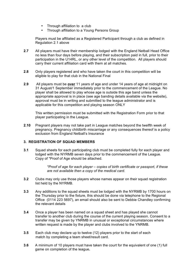- Through affiliation to a club
- Through affiliation to a Young Persons Group

Players must be affiliated as a Registered Participant through a club as defined in Regulation 2.1 above

- **2.7** All players must have their membership lodged with the England Netball Head Office no less than four days before playing, and their subscription paid in full, prior to their participation in the U14RL, or any other level of the competition. All players should carry their current affiliation card with them at all matches.
- **2.8** Only players registered and who have taken the court in this competition will be eligible to play for that club in the National Final
- **2.9** All players must be **over** 11 years of age and under 14 years of age at midnight on 31 August/1 September immediately prior to the commencement of the League. No player shall be allowed to play whose age is outside this age band unless the appropriate approval is in place (see age banding details available via the website), approval must be in writing and submitted to the league administrator and is applicable for this competition and playing season ONLY

This written permission must be submitted with the Registration Form prior to that player participating in the League.

**2.10** Pregnant players may not take part in League matches beyond the twelfth week of pregnancy. Pregnancy childbirth miscarriage or any consequences thereof is a policy exclusion from England Netball's Insurance

#### **3. REGISTRATION OF SQUAD MEMBERS**

**3.1** Squad sheets for each participating club must be completed fully for each player and lodged with the NYRMB seven days prior to the commencement of the League. Copy of \*Proof of Age should be attached.

> *\*Proof of age for each player – copies of birth certificate or passport, if these are not available then a copy of the medical card.*

- **3.2** Clubs may only use those players whose names appear on their squad registration list held by the NYRMB.
- **3.3** Any additions to the squad sheets must be lodged with the NYRMB by 1700 hours on the Thursday prior to the fixture, this should be done via telephone to the Regional Office (0114 223 5697), an email should also be sent to Debbie Chandley confirming the relevant details
- **3.4** Once a player has been named on a squad sheet and has played she cannot transfer to another club during the course of the current playing season. Consent to a transfer may be given by YNRMB in unusual or exceptional circumstances where written request is made by the player and clubs involved to the YNRMB.
- **3.5** Each club may declare up to twelve (12) players prior to the start of each match by completing a team sheet/result card.
- **3.6** A minimum of 10 players must have taken the court for the equivalent of one (1) full game on completion of the league*.*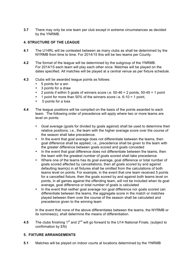**3.7** There may only be one team per club except in extreme circumstances as decided by the YNRMB.

#### **4. STRUCTURE OF THE LEAGUE**

- **4.1** The U14RL will be contested between as many clubs as shall be determined by the NYRMB from time to time. For 2014/15 this will be two teams per County.
- **4.2** The format of the league will be determined by the subgroup of the YNRMB. For 2014/15 each team will play each other once. Matches will be played on the dates specified. All matches will be played at a central venue as per fixture schedule.
- **4.3** Clubs will be awarded league points as follows:
	- 5 points for a win
	- 3 points for a draw
	- 2 points if within 5 goals of winners score i.e.  $50-46 = 2$  points,  $50-45 = 1$  point
	- 1 point for more than 50% of the winners score i.e.  $6-10 = 1$  point,
	- 0 points for a loss
- **4.4** The league positions will be compiled on the basis of the points awarded to each team. The following order of precedence will apply where two or more teams are level on points:
	- Goal average (goals for divided by goals against) shall be used to determine their relative positions, i.e., the team with the higher average score over the course of the season shall take precedence.
	- In the event that goal average does not differentiate between the teams, then goal difference shall be applied, i.e., precedence shall be given to the team with the greater difference between goals scored and goals conceded
	- In the event that goal difference does not differentiate between the teams, then the team with the greatest number of goals scored shall take precedence
	- Where one of the teams has its goal average, goal difference or total number of goals scored affected by cancellations, then all goals scored by and against defaulting team(s) in all fixtures shall be omitted from the calculations of both teams level on points. For example, in the event that one team received 5 points for a cancelled fixture, then the goals scored by and against both teams level on points, in all games against the offending team, will not be included when its goal average, goal difference or total number of goals is calculated
	- In the event that neither goal average nor goal difference nor goals scored can differentiate between the teams, the aggregate score in the match or matches played between them over the course of the season shall be calculated and precedence given to the winning team

In the event that none of the above differentiates between the teams, the NYRMB or its nominee(s), shall determine the means of differentiation.

4.5 The clubs finishing 1<sup>st</sup> and 2<sup>nd</sup> will go forward to the U14 National Finals. (subject to confirmation by EN)

#### **5. FIXTURE ARRANGEMENTS**

**5.1** Matches will be played on indoor courts at locations determined by the YNRMB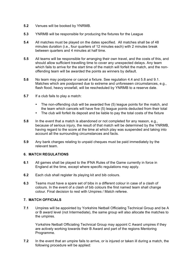- **5.2** Venues will be booked by YNRMB.
- **5.3** YNRMB will be responsible for producing the fixtures for the League
- **5.4** All matches must be played on the dates specified. All matches shall be of 48 minutes duration (i.e., four quarters of 12 minutes each) with 2 minutes break between quarters and 4 minutes at half time.
- **5.5** All teams will be responsible for arranging their own travel, and the costs of this, and should allow sufficient travelling time to cover any unexpected delays. Any team which fails to arrive for the start time of the match will forfeit the match, and the nonoffending team will be awarded the points as winners by default.
- **5.6** No team may postpone or cancel a fixture. See regulation 4.4 and 5.8 and 9.1. Matches which are postponed due to extreme and unforeseen circumstances, e.g., flash flood, heavy snowfall, will be rescheduled by YNRMB to a reserve date.
- **5.7** If a club fails to play a match:
	- The non-offending club will be awarded five (5) league points for the match, and the team which cancels will have five (5) league points deducted from their total
	- The club will forfeit its deposit and be liable to pay the total costs of the fixture
- **5.8** In the event that a match is abandoned or not completed for any reason, e.g., because of serious injury, the result of that match will be determined by the YNRMB, having regard to the score at the time at which play was suspended and taking into account all the surrounding circumstances and facts.
- **5.9** Any bank charges relating to unpaid cheques must be paid immediately by the relevant team.

#### **6. MATCH REGULATIONS**

- **6.1** All games shall be played to the IFNA Rules of the Game currently in force in England at the time, except where specific regulations may apply.
- **6.2** Each club shall register its playing kit and bib colours.
- **6.3** Teams must have a spare set of bibs in a different colour in case of a clash of colours. In the event of a clash of bib colours the first named team shall change colour. Final decision to rest with Umpires / Match referee.

### **7. MATCH OFFICIALS**

**7.1** Umpires will be appointed by Yorkshire Netball Officiating Technical Group and be A or B award level (not Intermediate), the same group will also allocate the matches to the umpires.

Yorkshire Netball Officiating Technical Group may appoint C Award umpires if they are actively working towards their B Award and part of the regions Mentoring Programme.

**7.2** In the event that an umpire fails to arrive, or is injured or taken ill during a match, the following procedure will be applied: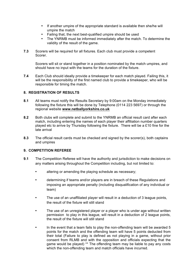- If another umpire of the appropriate standard is available then she/he will umpire the match
- Failing that, the next best-qualified umpire should be used
- The YNRMB must be informed immediately after the match. To determine the validity of the result of the game.
- **7.3** Scorers will be required for all fixtures. Each club must provide a competent Scorer.

Scorers will sit or stand together in a position nominated by the match umpires, and should have no input with the teams for the duration of the fixture.

**7.4** Each Club should ideally provide a timekeeper for each match played. Failing this, it will be the responsibility of the first named club to provide a timekeeper, who will be responsible for timing the match.

#### **8. REGISTRATION OF RESULTS**

- **8.1** All teams must notify the Results Secretary by 9:00am on the Monday immediately following the fixture this will be done by Telephone (0114 223 5697) or through the regional website **www.netballyorkshire.co.uk**
- **8.2** Both clubs will complete and submit to the YNRMB an official result card after each match, including entering the names of each player their affiliation number quarters played etc to arrive by Thursday following the fixture. There will be a £10 fine for the late arrival
- **8.3** The official result cards must be checked and signed by the scorer(s), both captains and umpires

#### **9. COMPETITION REFEREE**

- **9.1** The Competition Referee will have the authority and jurisdiction to make decisions on any matters arising throughout the Competition including, but not limited to:
	- altering or amending the playing schedule as necessary;
	- determining if teams and/or players are in breach of these Regulations and imposing an appropriate penalty (including disqualification of any individual or team)
	- The use of an unaffiliated player will result in a deduction of 3 league points, the result of the fixture will still stand
	- The use of an unregistered player or a player who is under age without written permission to play in this league, will result in a deduction of 2 league points, the result of the fixture will still stand
	- In the event that a team fails to play the non-offending team will be awarded 5 points for the match and the offending team will have 5 points deducted from their total (Failure to play is defined as not playing in a game, without prior consent from RLMB and with the opposition and officials expecting that the game would be played) \*\* The offending team may be liable to pay any costs which the non-offending team and match officials have incurred.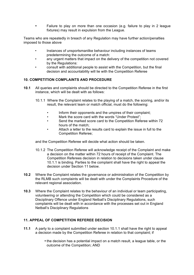• Failure to play on more than one occasion (e.g. failure to play in 2 league fixtures) may result in expulsion from the League.

Teams who are repeatedly in breach of any Regulation may have further action/penalties imposed to those above

- Instances of unsportsmanlike behaviour including instances of teams predetermining the outcome of a match:
- any urgent matters that impact on the delivery of the competition not covered by the Regulations:
- consult with additional people to assist with the Competition, but the final decision and accountability will lie with the Competition Referee

#### **10. COMPETITION COMPLAINTS AND PROCEDURE**

- **10.1** All queries and complaints should be directed to the Competition Referee in the first instance, which will be dealt with as follows:
	- 10.1.1 Where the Complaint relates to the playing of a match, the scoring, and/or its result, the relevant team or match official, must do the following:
		- Inform their opponents and the umpires of their complaint;
		- Mark the score card with the words "Under Protest":
		- Send the marked score card to the Competition Referee within 72 hours of the match;
		- Attach a letter to the results card to explain the issue in full to the Competition Referee;

and the Competition Referee will decide what action should be taken.

- 10.1.2 The Competition Referee will acknowledge receipt of the Complaint and make a decision on the matter within 72 hours of receipt of the Complaint. The Competition Referees decision in relation to decisions taken under clause 10.1.1 is binding. Parties to the complaint shall have the right to appeal the decision under Section 11 below.
- **10.2** Where the Complaint relates the governance or administration of the Competition by the RLMB such complaints will be dealt with under the Complaints Procedure of the relevant regional association.
- **10.3** Where the Complaint relates to the behaviour of an individual or team participating, volunteering or attending the Competition which could be considered as a Disciplinary Offence under England Netball's Disciplinary Regulations, such complaints will be dealt with in accordance with the processes set out in England Netball's Disciplinary Regulations

#### **11. APPEAL OF COMPETITION REFEREE DECISION**

- **11.1** A party to a complaint submitted under section 10.1.1 shall have the right to appeal a decision made by the Competition Referee in relation to that complaint; if
	- the decision has a potential impact on a match result, a league table, or the outcome of the Competition; AND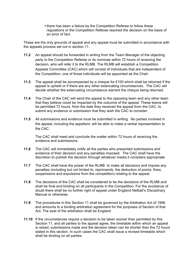• there has been a failure by the Competition Referee to follow these regulations or the Competition Referee reached the decision on the basis of an error of fact.

These are the only grounds of appeal and any appeal must be submitted in accordance with the appeals process set out in section 11.

- **11.2** An appeal should be forwarded in writing from the Team Manager of the objecting party to the Competition Referee or its nominee within 72 hours of receiving the decision, who will refer it to the RLMB. The RLMB will establish a Competition Appeals Committee (CAC) which will consist of individuals that are independent of the Competition; one of those individuals will be appointed as the Chair.
- **11.3** The appeal shall be accompanied by a cheque for £100 which shall be returned if the appeal is upheld or if there are any other extenuating circumstances. The CAC will decide whether the extenuating circumstance warrant the cheque being returned.
- **11.4** The Chair of the CAC will send the appeal to the opposing team and any other team that they believe could be impacted by the outcome of the appeal. These teams will be permitted 72 hours, from the date they received the appeal from the CAC, to submit any evidence or submission that they wish the CAC to consider.
- **11.5** All submissions and evidence must be submitted in writing. No parties involved in the appeal, including the appellant, will be able to make a verbal representation to the CAC.

The CAC shall meet and conclude the matter within 72 hours of receiving the evidence and submissions.

- **11.6** The CAC will immediately notify all the parties who presented submissions and evidence of their decision and any penalties imposed. The CAC shall have the discretion to publish the decision through whatever media it considers appropriate
- **11.7** The CAC shall have the power of the RLMB to make all decisions and impose any penalties (including but not limited to, reprimands, the deduction of points, fines, suspensions and expulsions from the competition) relating to the appeal.
- **11.8** The decisions of the CAC shall be considered to be the decisions of the RLMB and shall be final and binding on all participants in the Competition. For the avoidance of doubt there shall be no further right of appeal under England Netball's Disciplinary Manual or otherwise.
- **11.9** The procedures in this Section 11 shall be governed by the Arbitration Act of 1996 and amounts to a binding arbitration agreement for the purposes of Section of that Act. The seat of the arbitration shall be England
- **11.10** If the circumstances require a decision to be taken sooner than permitted by this Section 11, and all parties to the appeal agree, the timetable within which an appeal is raised, submissions made and the decision taken can be shorter than the 72 hours stated in this section. In such cases the CAC shall issue a revised timetable which shall be binding on all parties.